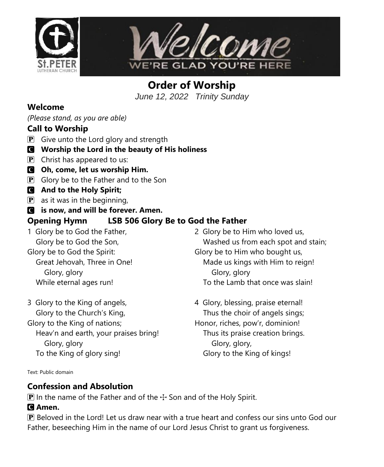



**Order of Worship** *June 12, 2022 Trinity Sunday*

#### **Welcome**

*(Please stand, as you are able)*

#### **Call to Worship**

- $\mathbf{P}$  Give unto the Lord glory and strength
- C **Worship the Lord in the beauty of His holiness**
- $\overline{P}$  Christ has appeared to us:
- C **Oh, come, let us worship Him.**
- $\mathbf{P}$  Glory be to the Father and to the Son
- C **And to the Holy Spirit;**
- $\left| \mathbf{P} \right|$  as it was in the beginning,
- C **is now, and will be forever. Amen.**

# **Opening Hymn LSB 506 Glory Be to God the Father**

- 1 Glory be to God the Father, Glory be to God the Son,
- Glory be to God the Spirit:
	- Great Jehovah, Three in One! Glory, glory While eternal ages run!
- 3 Glory to the King of angels, Glory to the Church's King, Glory to the King of nations; Heav'n and earth, your praises bring! Glory, glory
	- To the King of glory sing!
- 2 Glory be to Him who loved us, Washed us from each spot and stain; Glory be to Him who bought us, Made us kings with Him to reign! Glory, glory To the Lamb that once was slain!
- 4 Glory, blessing, praise eternal! Thus the choir of angels sings; Honor, riches, pow'r, dominion! Thus its praise creation brings. Glory, glory, Glory to the King of kings!

Text: Public domain

# **Confession and Absolution**

**P** In the name of the Father and of the  $+$  Son and of the Holy Spirit.

#### C **Amen.**

P Beloved in the Lord! Let us draw near with a true heart and confess our sins unto God our Father, beseeching Him in the name of our Lord Jesus Christ to grant us forgiveness.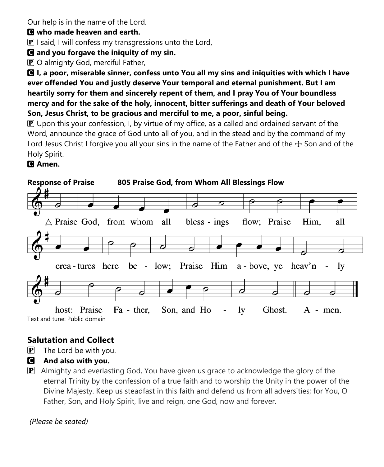Our help is in the name of the Lord.

#### C **who made heaven and earth.**

 $\bf{P}$  I said, I will confess my transgressions unto the Lord,

# C **and you forgave the iniquity of my sin.**

P O almighty God, merciful Father,

C **I, a poor, miserable sinner, confess unto You all my sins and iniquities with which I have ever offended You and justly deserve Your temporal and eternal punishment. But I am heartily sorry for them and sincerely repent of them, and I pray You of Your boundless mercy and for the sake of the holy, innocent, bitter sufferings and death of Your beloved Son, Jesus Christ, to be gracious and merciful to me, a poor, sinful being.**

 $\mathbb P$  Upon this your confession, I, by virtue of my office, as a called and ordained servant of the Word, announce the grace of God unto all of you, and in the stead and by the command of my Lord Jesus Christ I forgive you all your sins in the name of the Father and of the  $\pm$  Son and of the Holy Spirit.

# C **Amen.**



# **Salutation and Collect**

- $\left| \mathbf{P} \right|$  The Lord be with you.
- C **And also with you.**
- $\mathbf{P}$  Almighty and everlasting God, You have given us grace to acknowledge the glory of the eternal Trinity by the confession of a true faith and to worship the Unity in the power of the Divine Majesty. Keep us steadfast in this faith and defend us from all adversities; for You, O Father, Son, and Holy Spirit, live and reign, one God, now and forever.

#### *(Please be seated)*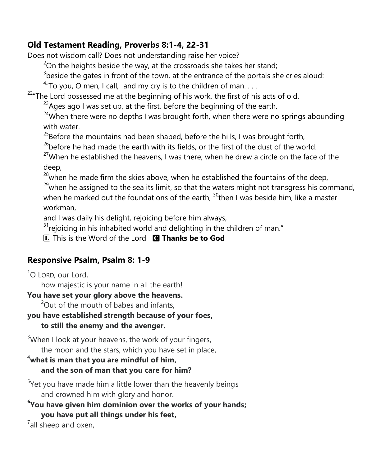# **Old Testament Reading, Proverbs 8:1-4, 22-31**

Does not wisdom call? Does not understanding raise her voice?

 $2^2$ On the heights beside the way, at the crossroads she takes her stand;

 $3$ beside the gates in front of the town, at the entrance of the portals she cries aloud:

 $4\pi$ To you, O men, I call, and my cry is to the children of man...

<sup>22</sup>"The Lord possessed me at the beginning of his work, the first of his acts of old.

 $^{23}$ Ages ago I was set up, at the first, before the beginning of the earth.

 $24$ When there were no depths I was brought forth, when there were no springs abounding with water.

 $^{25}$ Before the mountains had been shaped, before the hills, I was brought forth,

 $26$ before he had made the earth with its fields, or the first of the dust of the world.

 $27$ When he established the heavens, I was there; when he drew a circle on the face of the deep,

 $28$  when he made firm the skies above, when he established the fountains of the deep,

 $2<sup>9</sup>$ when he assigned to the sea its limit, so that the waters might not transgress his command, when he marked out the foundations of the earth,  $30$ <sup>then</sup> I was beside him, like a master workman,

and I was daily his delight, rejoicing before him always,

 $31$ rejoicing in his inhabited world and delighting in the children of man."

L This is the Word of the Lord C **Thanks be to God**

# **Responsive Psalm, Psalm 8: 1-9**

 $^1$ O LORD, our Lord,

how majestic is your name in all the earth!

#### **You have set your glory above the heavens.**

 $2^2$ Out of the mouth of babes and infants,

# **you have established strength because of your foes,**

**to still the enemy and the avenger.**

 $3$ When I look at your heavens, the work of your fingers, the moon and the stars, which you have set in place,

#### <sup>4</sup>**what is man that you are mindful of him, and the son of man that you care for him?**

<sup>5</sup>Yet you have made him a little lower than the heavenly beings and crowned him with glory and honor.

**6 You have given him dominion over the works of your hands; you have put all things under his feet,**

 $7$ all sheep and oxen,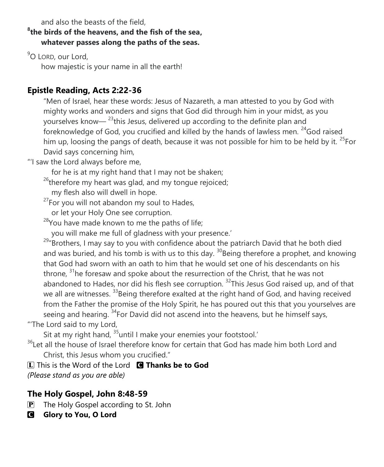and also the beasts of the field,

#### **8 the birds of the heavens, and the fish of the sea, whatever passes along the paths of the seas.**

<sup>9</sup>O LORD, our Lord,

how majestic is your name in all the earth!

# **Epistle Reading, Acts 2:22-36**

"Men of Israel, hear these words: Jesus of Nazareth, a man attested to you by God with mighty works and wonders and signs that God did through him in your midst, as you yourselves know—  $^{23}$ this Jesus, delivered up according to the definite plan and foreknowledge of God, you crucified and killed by the hands of lawless men. <sup>24</sup>God raised him up, loosing the pangs of death, because it was not possible for him to be held by it.  $25$ For David says concerning him,

"'I saw the Lord always before me,

for he is at my right hand that I may not be shaken;

 $26$ <sup>26</sup>therefore my heart was glad, and my tongue rejoiced;

my flesh also will dwell in hope.

 $27$ For you will not abandon my soul to Hades,

or let your Holy One see corruption.

<sup>28</sup>You have made known to me the paths of life;

you will make me full of gladness with your presence.'

<sup>29</sup>"Brothers, I may say to you with confidence about the patriarch David that he both died and was buried, and his tomb is with us to this day.  $30B$ eing therefore a prophet, and knowing that God had sworn with an oath to him that he would set one of his descendants on his throne,  $31$ he foresaw and spoke about the resurrection of the Christ, that he was not abandoned to Hades, nor did his flesh see corruption. <sup>32</sup>This Jesus God raised up, and of that we all are witnesses. <sup>33</sup>Being therefore exalted at the right hand of God, and having received from the Father the promise of the Holy Spirit, he has poured out this that you yourselves are seeing and hearing. <sup>34</sup>For David did not ascend into the heavens, but he himself says, "'The Lord said to my Lord,

Sit at my right hand,  $35$ until I make your enemies your footstool.'

<sup>36</sup>Let all the house of Israel therefore know for certain that God has made him both Lord and Christ, this Jesus whom you crucified."

L This is the Word of the Lord C **Thanks be to God** *(Please stand as you are able)*

# **The Holy Gospel, John 8:48-59**

 $\mathbf{P}$  The Holy Gospel according to St. John

**G** Glory to You, O Lord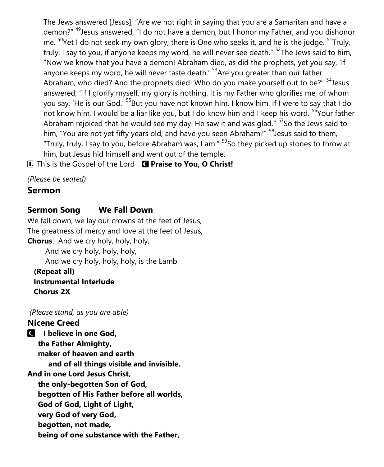The Jews answered [Jesus], "Are we not right in saying that you are a Samaritan and have a demon?" <sup>49</sup>Jesus answered, "I do not have a demon, but I honor my Father, and you dishonor me.  $50$ Yet I do not seek my own glory; there is One who seeks it, and he is the judge.  $51$ Truly, truly, I say to you, if anyone keeps my word, he will never see death." <sup>52</sup>The Jews said to him, "Now we know that you have a demon! Abraham died, as did the prophets, yet you say, 'If anyone keeps my word, he will never taste death.<sup>' 53</sup> Are you greater than our father Abraham, who died? And the prophets died! Who do you make yourself out to be?" <sup>54</sup>Jesus answered, "If I glorify myself, my glory is nothing. It is my Father who glorifies me, of whom you say, 'He is our God.' <sup>55</sup>But you have not known him. I know him. If I were to say that I do not know him, I would be a liar like you, but I do know him and I keep his word. <sup>56</sup>Your father Abraham rejoiced that he would see my day. He saw it and was glad."  $57$  So the Jews said to him, "You are not yet fifty years old, and have you seen Abraham?" <sup>58</sup>Jesus said to them, "Truly, truly, I say to you, before Abraham was, I am."  $^{59}$ So they picked up stones to throw at him, but Jesus hid himself and went out of the temple.

L This is the Gospel of the Lord C **Praise to You, O Christ!**

*(Please be seated)*

# **Sermon**

# **Sermon Song We Fall Down**

We fall down, we lay our crowns at the feet of Jesus, The greatness of mercy and love at the feet of Jesus, **Chorus**: And we cry holy, holy, holy, And we cry holy, holy, holy,

And we cry holy, holy, holy, is the Lamb

 **(Repeat all) Instrumental Interlude Chorus 2X**

*(Please stand, as you are able)*

#### **Nicene Creed**

C **I believe in one God, the Father Almighty, maker of heaven and earth and of all things visible and invisible. And in one Lord Jesus Christ, the only-begotten Son of God, begotten of His Father before all worlds, God of God, Light of Light, very God of very God, begotten, not made, being of one substance with the Father,**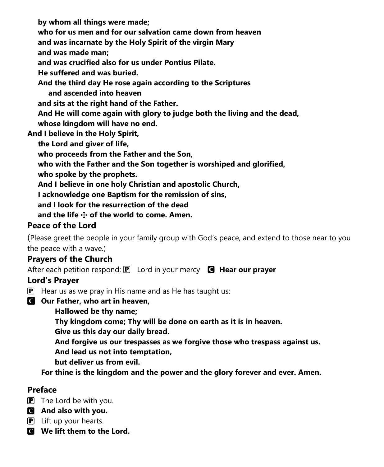**by whom all things were made; who for us men and for our salvation came down from heaven and was incarnate by the Holy Spirit of the virgin Mary and was made man; and was crucified also for us under Pontius Pilate. He suffered and was buried. And the third day He rose again according to the Scriptures and ascended into heaven and sits at the right hand of the Father. And He will come again with glory to judge both the living and the dead, whose kingdom will have no end.**

**And I believe in the Holy Spirit,**

 **the Lord and giver of life,**

 **who proceeds from the Father and the Son,**

 **who with the Father and the Son together is worshiped and glorified,**

 **who spoke by the prophets.**

 **And I believe in one holy Christian and apostolic Church,**

 **I acknowledge one Baptism for the remission of sins,**

 **and I look for the resurrection of the dead**

 **and the life** T **of the world to come. Amen.**

# **Peace of the Lord**

(Please greet the people in your family group with God's peace, and extend to those near to you the peace with a wave.)

# **Prayers of the Church**

After each petition respond: **P** Lord in your mercy **G** Hear our prayer

#### **Lord's Prayer**

- $\mathbf{P}$  Hear us as we pray in His name and as He has taught us:
- C **Our Father, who art in heaven,**
	- **Hallowed be thy name;**

**Thy kingdom come; Thy will be done on earth as it is in heaven.**

**Give us this day our daily bread.**

**And forgive us our trespasses as we forgive those who trespass against us.**

**And lead us not into temptation,**

**but deliver us from evil.**

**For thine is the kingdom and the power and the glory forever and ever. Amen.**

#### **Preface**

- $\mathbf{P}$  The Lord be with you.
- C **And also with you.**
- **P** Lift up your hearts.
- C **We lift them to the Lord.**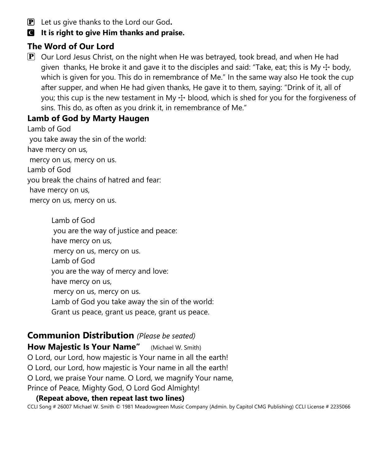P Let us give thanks to the Lord our God**.**

#### C **It is right to give Him thanks and praise.**

# **The Word of Our Lord**

 $\mathbf{P}$  Our Lord Jesus Christ, on the night when He was betrayed, took bread, and when He had given thanks, He broke it and gave it to the disciples and said: "Take, eat; this is My  $\pm$  body, which is given for you. This do in remembrance of Me." In the same way also He took the cup after supper, and when He had given thanks, He gave it to them, saying: "Drink of it, all of you; this cup is the new testament in My  $\pm$  blood, which is shed for you for the forgiveness of sins. This do, as often as you drink it, in remembrance of Me."

# **Lamb of God by Marty Haugen**

Lamb of God you take away the sin of the world: have mercy on us, mercy on us, mercy on us. Lamb of God you break the chains of hatred and fear: have mercy on us, mercy on us, mercy on us.

> Lamb of God you are the way of justice and peace: have mercy on us, mercy on us, mercy on us. Lamb of God you are the way of mercy and love: have mercy on us, mercy on us, mercy on us. Lamb of God you take away the sin of the world: Grant us peace, grant us peace, grant us peace.

# **Communion Distribution** *(Please be seated)*

**How Majestic Is Your Name"** (Michael W. Smith)

O Lord, our Lord, how majestic is Your name in all the earth!

O Lord, our Lord, how majestic is Your name in all the earth!

O Lord, we praise Your name. O Lord, we magnify Your name,

Prince of Peace, Mighty God, O Lord God Almighty!

#### **(Repeat above, then repeat last two lines)**

CCLI Song # 26007 Michael W. Smith © 1981 Meadowgreen Music Company (Admin. by Capitol CMG Publishing) CCLI License # 2235066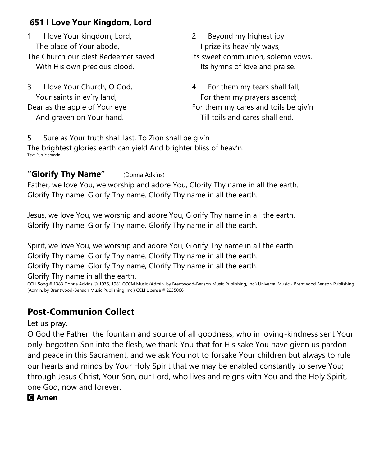# **651 I Love Your Kingdom, Lord**

1 I love Your kingdom, Lord, The place of Your abode, The Church our blest Redeemer saved With His own precious blood.

3 I love Your Church, O God, Your saints in ev'ry land, Dear as the apple of Your eye And graven on Your hand.

2 Beyond my highest joy I prize its heav'nly ways, Its sweet communion, solemn vows, Its hymns of love and praise.

4 For them my tears shall fall; For them my prayers ascend; For them my cares and toils be giv'n Till toils and cares shall end.

5 Sure as Your truth shall last, To Zion shall be giv'n The brightest glories earth can yield And brighter bliss of heav'n. Text: Public domain

#### **"Glorify Thy Name"** (Donna Adkins)

Father, we love You, we worship and adore You, Glorify Thy name in all the earth. Glorify Thy name, Glorify Thy name. Glorify Thy name in all the earth.

Jesus, we love You, we worship and adore You, Glorify Thy name in all the earth. Glorify Thy name, Glorify Thy name. Glorify Thy name in all the earth.

Spirit, we love You, we worship and adore You, Glorify Thy name in all the earth. Glorify Thy name, Glorify Thy name. Glorify Thy name in all the earth. Glorify Thy name, Glorify Thy name, Glorify Thy name in all the earth. Glorify Thy name in all the earth.

CCLI Song # 1383 Donna Adkins © 1976, 1981 CCCM Music (Admin. by Brentwood-Benson Music Publishing, Inc.) Universal Music - Brentwood Benson Publishing (Admin. by Brentwood-Benson Music Publishing, Inc.) CCLI License # 2235066

# **Post-Communion Collect**

Let us pray.

O God the Father, the fountain and source of all goodness, who in loving-kindness sent Your only-begotten Son into the flesh, we thank You that for His sake You have given us pardon and peace in this Sacrament, and we ask You not to forsake Your children but always to rule our hearts and minds by Your Holy Spirit that we may be enabled constantly to serve You; through Jesus Christ, Your Son, our Lord, who lives and reigns with You and the Holy Spirit, one God, now and forever.

#### C **Amen**